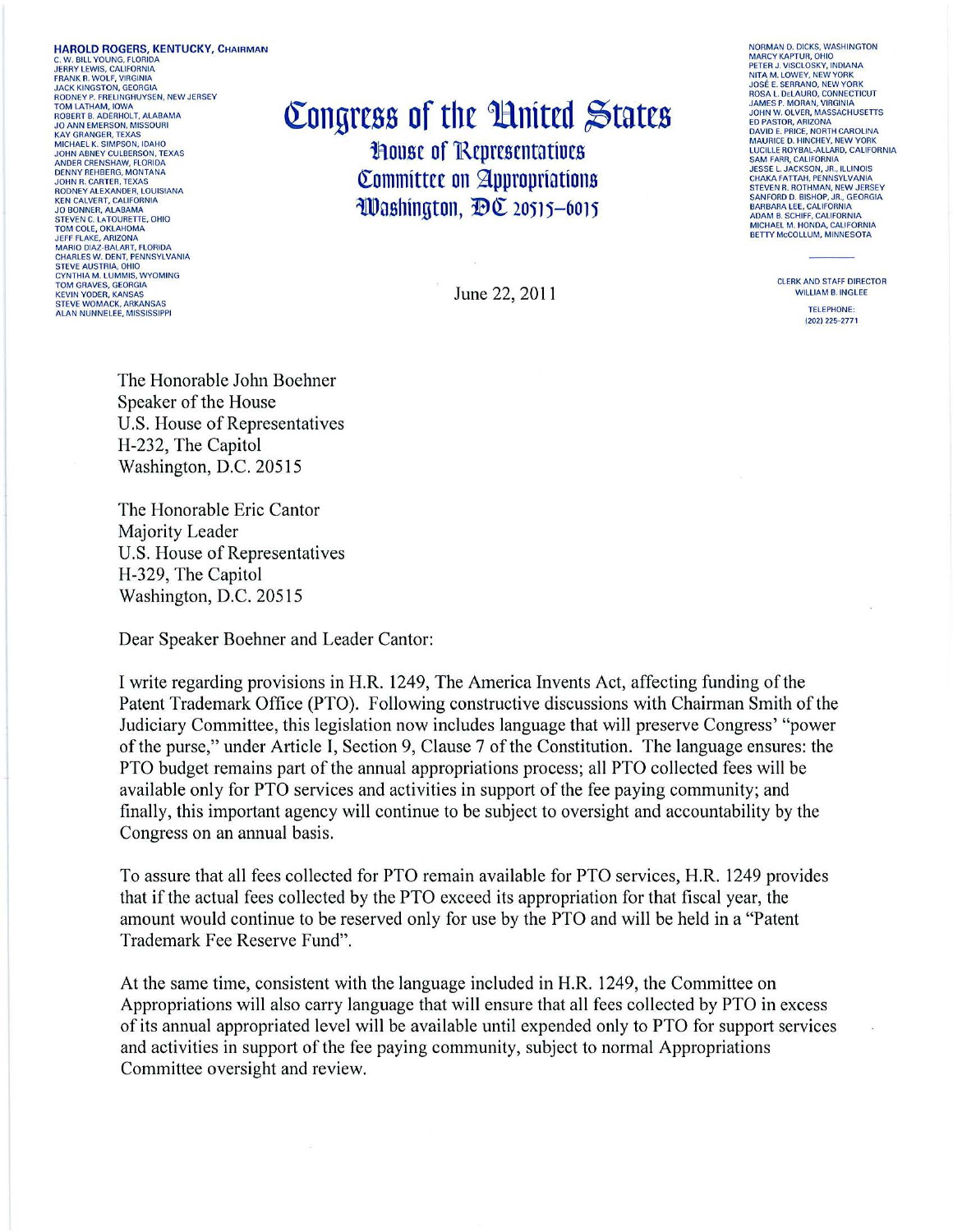**HAROLD ROGERS, KENTUCKY, CHAIRMAN** C. W. BILL YOUNG, FLORIDA<br>JERRY LEWIS, CALIFORNIA FRANK R. WOLF, VIRGINIA<br>JACK KINGSTON, GEORGIA **RODNEY P. FRELINGHUYSEN. NEW JERSEY** TOM LATHAM, IOWA<br>ROBERT B. ADERHOLT, ALABAMA<br>JO ANN EMERSON, MISSOURI KAY GRANGER, TEXAS MICHAEL K. SIMPSON, IDAHO ANDER CRENSHAW, FLORIDA NNDER CRENSHAW, FLORIDA<br>JOHN R. CARTER, TEXAS<br>RODNEY ALEXANDER, LOUISIANA KEN CALVERT, CALIFORNIA **JO BONNER, ALABAMA<br>STEVEN C. LATOURETTE, OHIO** TOM COLE, OKLAHOMA **JEFF FLAKE, ARIZONA<br>MARIO DIAZ-BALART, FLORIDA<br>CHARLES W. DENT, PENNSYLVANIA** STEVE AUSTRIA OHIO **CYNTHIA M. LUMMIS, WYOMING<br>TOM GRAVES, GEORGIA KEVIN YODER, KANSAS** STEVE WOMACK, ARKANSAS<br>ALAN NUNNELEE, MISSISSIPPI

Congress of the United States **House of Representatives** Committee on Appropriations Washington, DC 20515-6015

June 22, 2011

NORMAN D. DICKS, WASHINGTON **MARCY KAPTUR, OHIO NIARC FAAFTON, ONIO<br>PETER J. VISCLOSKY, INDIANA<br>NITA M. LOWEY, NEW YORK<br>JOSÉ E. SERRANO, NEW YORK SOSE E. SERIANO, NEW TORN<br>ROSA L. DELAURO, CONNECTICUT<br>JAMES P. MORAN, VIRGINIA<br>JOHN W. OLVER, MASSACHUSETTS FD PASTOR, ARIZONA ED FASTOR, ANIZORA<br>MAURICE D. HINCHEY, NEW YORK<br>MAURICE D. HINCHEY, NEW YORK<br>LUCILLE ROYBAL-ALLARD, CALIFORNIA** SAM FARR, CALIFORNIA<br>JESSE L. JACKSON, JR., ILLINOIS<br>CHAKA FATTAH, PENNSYLVANIA STEVEN R. ROTHMAN, NEW JERSEY<br>SANFORD D. BISHOP, JR., GEORGIA<br>BARBARA LEE, CALIFORNIA<br>ADAM B. SCHIFF, CALIFORNIA MICHAEL M. HONDA, CALIFORNIA<br>BETTY MCCOLLUM, MINNESOTA

> **CLERK AND STAFF DIRECTOR WILLIAM B. INGLEE** TELEPHONE: (202) 225-2771

The Honorable John Boehner Speaker of the House U.S. House of Representatives H-232, The Capitol Washington, D.C. 20515

The Honorable Eric Cantor Majority Leader U.S. House of Representatives H-329, The Capitol Washington, D.C. 20515

Dear Speaker Boehner and Leader Cantor:

I write regarding provisions in H.R. 1249, The America Invents Act, affecting funding of the Patent Trademark Office (PTO). Following constructive discussions with Chairman Smith of the Judiciary Committee, this legislation now includes language that will preserve Congress' "power" of the purse," under Article I, Section 9, Clause 7 of the Constitution. The language ensures: the PTO budget remains part of the annual appropriations process; all PTO collected fees will be available only for PTO services and activities in support of the fee paying community; and finally, this important agency will continue to be subject to oversight and accountability by the Congress on an annual basis.

To assure that all fees collected for PTO remain available for PTO services, H.R. 1249 provides that if the actual fees collected by the PTO exceed its appropriation for that fiscal year, the amount would continue to be reserved only for use by the PTO and will be held in a "Patent" Trademark Fee Reserve Fund".

At the same time, consistent with the language included in H.R. 1249, the Committee on Appropriations will also carry language that will ensure that all fees collected by PTO in excess of its annual appropriated level will be available until expended only to PTO for support services and activities in support of the fee paying community, subject to normal Appropriations Committee oversight and review.